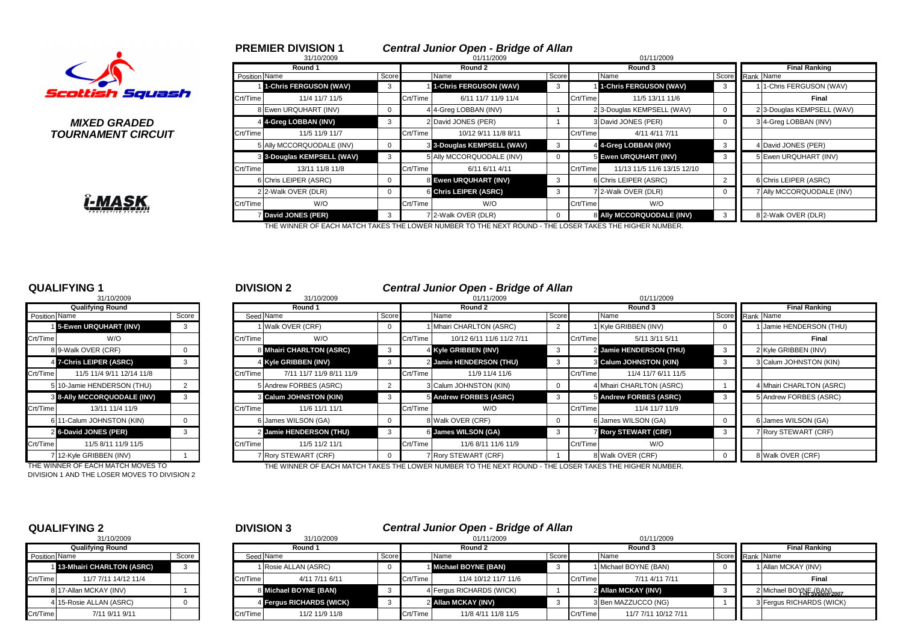

**TOURNAMENT CIRCUIT** 

|        | 7.<br>,<br>- |             |
|--------|--------------|-------------|
|        |              | 7<br>π<br>н |
| R<br>P | ECTIVE       | FAR         |

|                                | <b>PREMIER DIVISION 1</b><br>31/10/2009 |       |          | <b>Central Junior Open - Bridge of Allan</b><br>01/11/2009 |       |          | 01/11/2009                  |                            |
|--------------------------------|-----------------------------------------|-------|----------|------------------------------------------------------------|-------|----------|-----------------------------|----------------------------|
|                                | Round 1                                 |       |          | Round 2                                                    |       |          | Round 3                     | <b>Final Ranking</b>       |
|                                | Position Name                           | Score |          | Name                                                       | Score |          | Name                        | Score Rank Name            |
|                                | 1-Chris FERGUSON (WAV)                  |       |          | 1-Chris FERGUSON (WAV)                                     |       |          | 1-Chris FERGUSON (WAV)      | 1-Chris FERGUSON (WAV)     |
| ottish Squash                  | Crt/Time<br>11/4 11/7 11/5              |       | Crt/Time | 6/11 11/7 11/9 11/4                                        |       | Crt/Time | 11/5 13/11 11/6             | Final                      |
|                                | 8 Ewen URQUHART (INV)                   |       |          | 4 4-Greg LOBBAN (INV)                                      |       |          | 2 3-Douglas KEMPSELL (WAV)  | 2 3-Douglas KEMPSELL (WAV) |
| <i><b>MIXED GRADED</b></i>     | 4 4-Greg LOBBAN (INV)                   |       |          | 2 David JONES (PER)                                        |       |          | 3 David JONES (PER)         | 3 4-Greg LOBBAN (INV)      |
| <i><b>IRNAMENT CIRCUIT</b></i> | Crt/Time<br>11/5 11/9 11/7              |       | Crt/Time | 10/12 9/11 11/8 8/11                                       |       | Crt/Time | 4/11 4/11 7/11              |                            |
|                                | 5 Ally MCCORQUODALE (INV)               |       |          | 3 3-Douglas KEMPSELL (WAV)                                 | 3     |          | 4 4-Greg LOBBAN (INV)       | 4 David JONES (PER)        |
|                                | 3 3-Douglas KEMPSELL (WAV)              |       |          | 5 Ally MCCORQUODALE (INV)                                  |       |          | 5 Ewen URQUHART (INV)       | 5 Ewen URQUHART (INV)      |
|                                | Crt/Time<br>13/11 11/8 11/8             |       | Crt/Time | 6/11 6/11 4/11                                             |       | Crt/Time | 11/13 11/5 11/6 13/15 12/10 |                            |
|                                | 6 Chris LEIPER (ASRC)                   |       |          | 8 Ewen URQUHART (INV)                                      | 3     |          | 6 Chris LEIPER (ASRC)       | 6 Chris LEIPER (ASRC)      |
|                                | 2 2-Walk OVER (DLR)                     |       |          | 6 Chris LEIPER (ASRC)                                      |       |          | 72-Walk OVER (DLR)          | 7 Ally MCCORQUODALE (INV)  |
| <u>Î-MASK,</u>                 | Crt/Time<br>W/O                         |       | Crt/Time | W/O                                                        |       | Crt/Time | W/O                         |                            |
|                                | <b>David JONES (PER)</b>                |       |          | 7 2-Walk OVER (DLR)                                        |       |          | 8 Ally MCCORQUODALE (INV)   | 8 2-Walk OVER (DLR)        |

THE WINNER OF EACH MATCH TAKES THE LOWER NUMBER TO THE NEXT ROUND - THE LOSER TAKES THE HIGHER NUMBER.

|                      | 31/10/2009                |          |
|----------------------|---------------------------|----------|
|                      | <b>Qualifying Round</b>   |          |
| <b>Position Name</b> |                           | Score    |
| $\mathbf{1}$         | 5-Ewen URQUHART (INV)     | 3        |
| Crt/Time             | W/O                       |          |
|                      | 8 9-Walk OVER (CRF)       | $\Omega$ |
| 4                    | 7-Chris LEIPER (ASRC)     | 3        |
| Crt/Time             | 11/5 11/4 9/11 12/14 11/8 |          |
| 5                    | 10-Jamie HENDERSON (THU)  | 2        |
| 3                    | 8-Ally MCCORQUODALE (INV) | 3        |
| Crt/Time             | 13/11 11/4 11/9           |          |
| 6                    | 11-Calum JOHNSTON (KIN)   | $\Omega$ |
| $\overline{2}$       | 6-David JONES (PER)       | 3        |
| Crt/Time             | 11/5 8/11 11/9 11/5       |          |
| $\overline{7}$       | 12-Kyle GRIBBEN (INV)     |          |

DIVISION 1 AND THE LOSER MOVES TO DIVISION 2

### **QUALIFYING 1** <sup>1</sup> <sup>2</sup> **DIVISION 2** *Central Junior Open - Bridge of Allan*

|                        | 31/10/2009                         |  |           | 31/10/2009               |   |          | 01/11/2009                |   |          | 01/11/2009                    |                         |           |                          |  |  |
|------------------------|------------------------------------|--|-----------|--------------------------|---|----------|---------------------------|---|----------|-------------------------------|-------------------------|-----------|--------------------------|--|--|
|                        | <b>Qualifying Round</b>            |  |           | Round 1                  |   |          | Round 2                   |   |          | Round 3                       |                         |           | <b>Final Ranking</b>     |  |  |
| Position Name<br>Score |                                    |  | Seed Name | Score                    |   | Name     | Score                     |   | Name     | Score                         |                         | Rank Name |                          |  |  |
|                        | 15-Ewen URQUHART (INV)             |  |           | 1 Walk OVER (CRF)        |   |          | 1 Mhairi CHARLTON (ASRC)  |   |          | 1 Kyle GRIBBEN (INV)          |                         |           | Jamie HENDERSON (THU)    |  |  |
| Crt/Time               | W/O                                |  | Crt/Time  | W/O                      |   | Crt/Time | 10/12 6/11 11/6 11/2 7/11 |   | Crt/Time | 5/11 3/11 5/11                |                         |           | Final                    |  |  |
|                        | 8 9-Walk OVER (CRF)                |  |           | 8 Mhairi CHARLTON (ASRC) | 3 |          | 4 Kyle GRIBBEN (INV)      | 3 |          | 2 Jamie HENDERSON (THU)       | $\overline{\mathbf{3}}$ |           | 2 Kyle GRIBBEN (INV)     |  |  |
|                        | 4 7-Chris LEIPER (ASRC)            |  |           | 4 Kyle GRIBBEN (INV)     |   |          | 2 Jamie HENDERSON (THU)   | 3 |          | <b>3 Calum JOHNSTON (KIN)</b> |                         |           | 3 Calum JOHNSTON (KIN)   |  |  |
| Crt/Time               | 11/5 11/4 9/11 12/14 11/8          |  | Crt/Time  | 7/11 11/7 11/9 8/11 11/9 |   | Crt/Time | 11/9 11/4 11/6            |   | Crt/Time | 11/4 11/7 6/11 11/5           |                         |           |                          |  |  |
|                        | 5 10-Jamie HENDERSON (THU)         |  |           | 5 Andrew FORBES (ASRC)   |   |          | 3 Calum JOHNSTON (KIN)    |   |          | 4 Mhairi CHARLTON (ASRC)      |                         |           | 4 Mhairi CHARLTON (ASRC) |  |  |
|                        | <b>3 8-Ally MCCORQUODALE (INV)</b> |  |           | 3 Calum JOHNSTON (KIN)   |   |          | 5 Andrew FORBES (ASRC)    | 3 |          | 5 Andrew FORBES (ASRC)        |                         |           | 5 Andrew FORBES (ASRC)   |  |  |
| Crt/Time               | 13/11 11/4 11/9                    |  | Crt/Time  | 11/6 11/1 11/1           |   | Crt/Time | W/O                       |   | Crt/Time | 11/4 11/7 11/9                |                         |           |                          |  |  |
|                        | 6 11-Calum JOHNSTON (KIN)          |  |           | 6 James WILSON (GA)      |   |          | 8 Walk OVER (CRF)         |   |          | 6 James WILSON (GA)           |                         |           | 6 James WILSON (GA)      |  |  |
|                        | 2 6-David JONES (PER)              |  |           | 2 Jamie HENDERSON (THU)  |   |          | 6 James WILSON (GA)       | 3 |          | <b>Rory STEWART (CRF)</b>     |                         |           | 7 Rory STEWART (CRF)     |  |  |
| Crt/Time               | 11/5 8/11 11/9 11/5                |  | Crt/Time  | 11/5 11/2 11/1           |   | Crt/Time | 11/6 8/11 11/6 11/9       |   | Crt/Time | W/O                           |                         |           |                          |  |  |
|                        | 7 12-Kyle GRIBBEN (INV)            |  |           | 7 Rory STEWART (CRF)     |   |          | 7 Rory STEWART (CRF)      |   |          | 8 Walk OVER (CRF)             |                         |           | 8 Walk OVER (CRF)        |  |  |

THE WINNER OF EACH MATCH MOVES TO THE WINNER OF EACH MATCH TAKES THE LOWER NUMBER TO THE NEXT ROUND - THE LOSER TAKES THE HIGHER NUMBER.

|               | 31/10/2009                  |       |
|---------------|-----------------------------|-------|
|               | <b>Qualifying Round</b>     |       |
| Position Name |                             | Score |
|               | 1 13-Mhairi CHARLTON (ASRC) | 3     |
| Crt/Time      | 11/7 7/11 14/12 11/4        |       |
|               | 8 17-Allan MCKAY (INV)      |       |
|               | 4 15-Rosie ALLAN (ASRC)     |       |
| Crt/Time      | 7/11 9/11 9/11              |       |

# **QUALIFYING 2** 2 **DIVISION 3** 2 **DIVISION 3** *Central Junior Open - Bridge of Allan*

| 31/10/2009    |                             |         |  |          | 31/10/2009               |       |          | 01/11/2009               |       |          | 01/11/2009            |                 |  |                                       |
|---------------|-----------------------------|---------|--|----------|--------------------------|-------|----------|--------------------------|-------|----------|-----------------------|-----------------|--|---------------------------------------|
|               | <b>Qualifying Round</b>     |         |  |          | Round 1                  |       |          | Round 2                  |       |          | Round 3               |                 |  | <b>Final Ranking</b>                  |
| Position Name |                             | Score i |  |          | Seed Name                | Score |          | Name                     | Score |          | Name                  | Score Rank Name |  |                                       |
|               | 1 13-Mhairi CHARLTON (ASRC) |         |  |          | 1 Rosie ALLAN (ASRC)     |       |          | Michael BOYNE (BAN)      |       |          | 1 Michael BOYNE (BAN) |                 |  | 1 Allan MCKAY (INV)                   |
| Crt/Time      | 11/7 7/11 14/12 11/4        |         |  | Crt/Time | 4/11 7/11 6/11           |       | Crt/Time | 11/4 10/12 11/7 11/6     |       | Crt/Time | 7/11 4/11 7/11        |                 |  | Final                                 |
|               | 817-Allan MCKAY (INV)       |         |  |          | 8 Michael BOYNE (BAN)    |       |          | 4 Fergus RICHARDS (WICK) |       |          | 2 Allan MCKAY (INV)   |                 |  | 2 Michael BOYNE (BAN) <sub>2007</sub> |
|               | 4 15-Rosie ALLAN (ASRC)     |         |  |          | 4 Fergus RICHARDS (WICK) |       |          | 2 Allan MCKAY (INV)      |       |          | 3 Ben MAZZUCCO (NG)   |                 |  | 3 Fergus RICHARDS (WICK)              |
| Crt/Time      | 7/11 9/11 9/11              |         |  | Crt/Time | 11/2 11/9 11/8           |       | Crt/Time | 11/8 4/11 11/8 11/5      |       | Crt/Time | 11/7 7/11 10/12 7/11  |                 |  |                                       |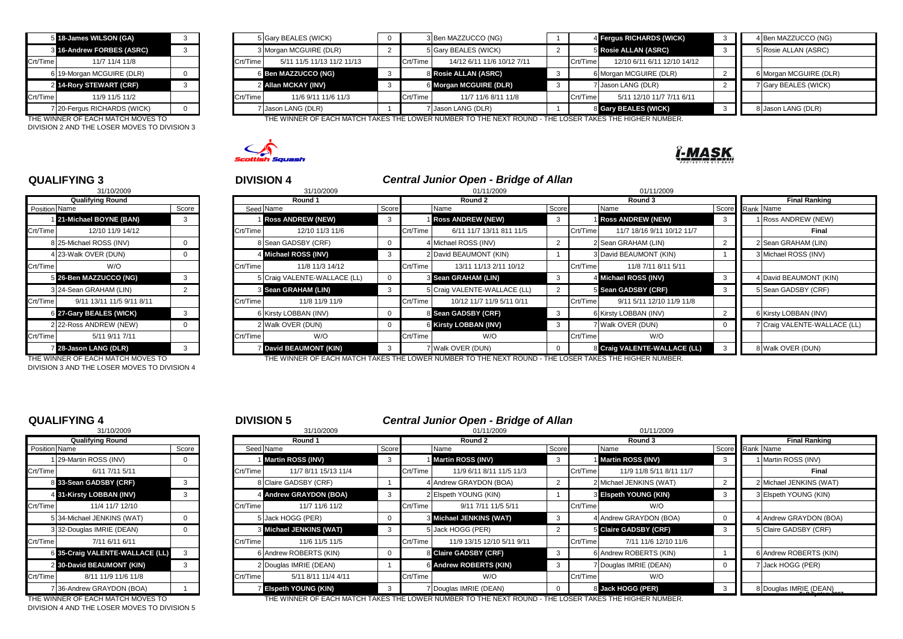|          | 5 18-James WILSON (GA)      |  |  |  |  |  |  |  |  |
|----------|-----------------------------|--|--|--|--|--|--|--|--|
|          | 8 16-Andrew FORBES (ASRC)   |  |  |  |  |  |  |  |  |
| Crt/Time | 11/7 11/4 11/8              |  |  |  |  |  |  |  |  |
|          | 6 19-Morgan MCGUIRE (DLR)   |  |  |  |  |  |  |  |  |
|          | 2 14-Rory STEWART (CRF)     |  |  |  |  |  |  |  |  |
| Crt/Time | 11/9 11/5 11/2              |  |  |  |  |  |  |  |  |
|          | 7 20-Fergus RICHARDS (WICK) |  |  |  |  |  |  |  |  |

DIVISION 2 AND THE LOSER MOVES TO DIVISION 3

|          | 5 18-James WILSON (GA)      |  |          | 5 Gary BEALES (WICK)       |          | 3 Ben MAZZUCCO (NG)        |          | 4 Fergus RICHARDS (WICK)    | 4 Ben MAZZUCCO (NG)    |
|----------|-----------------------------|--|----------|----------------------------|----------|----------------------------|----------|-----------------------------|------------------------|
|          | 3 16-Andrew FORBES (ASRC)   |  |          | 3 Morgan MCGUIRE (DLR)     |          | 5 Gary BEALES (WICK)       |          | 5 Rosie ALLAN (ASRC)        | 5 Rosie ALLAN (ASRC)   |
| Crt/Time | 11/7 11/4 11/8              |  | Crt/Time | 5/11 11/5 11/13 11/2 11/13 | Crt/Time | 14/12 6/11 11/6 10/12 7/11 | Crt/Time | 12/10 6/11 6/11 12/10 14/12 |                        |
|          | 6 19-Morgan MCGUIRE (DLR)   |  |          | 6 Ben MAZZUCCO (NG)        |          | 8 Rosie ALLAN (ASRC)       |          | 6 Morgan MCGUIRE (DLR)      | 6 Morgan MCGUIRE (DLR) |
|          | 2 14-Rory STEWART (CRF)     |  |          | 2 Allan MCKAY (INV)        |          | 6 Morgan MCGUIRE (DLR)     |          | 7 Jason LANG (DLR)          | 7 Gary BEALES (WICK)   |
| Crt/Time | 11/9 11/5 11/2              |  | Crt/Time | 11/6 9/11 11/6 11/3        | Crt/Time | 11/7 11/6 8/11 11/8        | Crt/Time | 5/11 12/10 11/7 7/11 6/11   |                        |
|          | 7 20-Fergus RICHARDS (WICK) |  |          | 7 Jason LANG (DLR)         |          | 7 Jason LANG (DLR)         |          | 8 Gary BEALES (WICK)        | 8 Jason LANG (DLR)     |

THE WINNER OF EACH MATCH MOVES TO THE WINNER OF EACH MATCH TAKES THE LOWER NUMBER TO THE NEXT ROUND - THE LOSER TAKES THE HIGHER NUMBER.





## **QUALIFYING 3** <sup>3</sup> <sup>4</sup> **DIVISION 4** *Central Junior Open - Bridge of Allan*

|               | 31/10/2009                |                |
|---------------|---------------------------|----------------|
|               | <b>Qualifying Round</b>   |                |
| Position Name |                           | Score          |
|               | 121-Michael BOYNE (BAN)   | 3              |
| Crt/Time      | 12/10 11/9 14/12          |                |
| 8             | 25-Michael ROSS (INV)     | 0              |
|               | 4 23-Walk OVER (DUN)      | n              |
| Crt/Time      | W/O                       |                |
| 5             | 26-Ben MAZZUCCO (NG)      | 3              |
| 3             | 24-Sean GRAHAM (LIN)      | $\overline{2}$ |
| Crt/Time      | 9/11 13/11 11/5 9/11 8/11 |                |
| 6             | 27-Gary BEALES (WICK)     | 3              |
| 2             | 22-Ross ANDREW (NEW)      | O              |
| Crt/Time      | 5/11 9/11 7/11            |                |
|               | 28-Jason LANG (DLR)       | 3              |

DIVISION 3 AND THE LOSER MOVES TO DIVISION 4

|               | <b>QUALIFYING 3</b>       |       |          | <b>DIVISION 4</b>            |          |          | Central Junior Open - Bridge of Allan |       |          |                              |                 |                              |
|---------------|---------------------------|-------|----------|------------------------------|----------|----------|---------------------------------------|-------|----------|------------------------------|-----------------|------------------------------|
|               | 31/10/2009                |       |          | 31/10/2009                   |          |          | 01/11/2009                            |       |          | 01/11/2009                   |                 |                              |
|               | <b>Qualifying Round</b>   |       |          | Round 1                      |          |          | Round 2                               |       |          | Round 3                      |                 | <b>Final Ranking</b>         |
| Position Name |                           | Score |          | Seed Name                    | Score    |          | Name                                  | Score |          | Name                         | Score Rank Name |                              |
|               | 21-Michael BOYNE (BAN)    | 3     |          | <b>Ross ANDREW (NEW)</b>     |          |          | <b>Ross ANDREW (NEW)</b>              | - 3   |          | <b>1 Ross ANDREW (NEW)</b>   |                 | Ross ANDREW (NEW)            |
| Crt/Time      | 12/10 11/9 14/12          |       | Crt/Time | 12/10 11/3 11/6              |          | Crt/Time | 6/11 11/7 13/11 811 11/5              |       | Crt/Time | 11/7 18/16 9/11 10/12 11/7   |                 | Final                        |
|               | 8 25-Michael ROSS (INV)   |       |          | 8 Sean GADSBY (CRF)          |          |          | 4 Michael ROSS (INV)                  |       |          | 2 Sean GRAHAM (LIN)          |                 | 2 Sean GRAHAM (LIN)          |
|               | 4 23-Walk OVER (DUN)      |       |          | 4 Michael ROSS (INV)         |          |          | 2 David BEAUMONT (KIN)                |       |          | 3 David BEAUMONT (KIN)       |                 | 3 Michael ROSS (INV)         |
| Crt/Time      | W/O                       |       | Crt/Time | 11/8 11/3 14/12              |          | Crt/Time | 13/11 11/13 2/11 10/12                |       | Crt/Time | 11/8 7/11 8/11 5/11          |                 |                              |
|               | 5 26-Ben MAZZUCCO (NG)    |       |          | 5 Craig VALENTE-WALLACE (LL) | $\Omega$ |          | 3 Sean GRAHAM (LIN)                   | - 3   |          | 4 Michael ROSS (INV)         | -3              | 4 David BEAUMONT (KIN)       |
|               | 3 24-Sean GRAHAM (LIN)    |       |          | 3 Sean GRAHAM (LIN)          |          |          | 5 Craig VALENTE-WALLACE (LL)          |       |          | 5 Sean GADSBY (CRF)          |                 | 5 Sean GADSBY (CRF)          |
| Crt/Time      | 9/11 13/11 11/5 9/11 8/11 |       | Crt/Time | 11/8 11/9 11/9               |          | Crt/Time | 10/12 11/7 11/9 5/11 0/11             |       | Crt/Time | 9/11 5/11 12/10 11/9 11/8    |                 |                              |
|               | 6 27-Gary BEALES (WICK)   |       |          | 6 Kirsty LOBBAN (INV)        |          |          | 8 Sean GADSBY (CRF)                   | - 3   |          | 6 Kirsty LOBBAN (INV)        |                 | 6 Kirsty LOBBAN (INV)        |
|               | 2 22-Ross ANDREW (NEW)    |       |          | 2 Walk OVER (DUN)            |          |          | 6 Kirsty LOBBAN (INV)                 | 3     |          | 7 Walk OVER (DUN)            |                 | 7 Craig VALENTE-WALLACE (LL) |
| Crt/Time      | 5/11 9/11 7/11            |       | Crt/Time | W/O                          |          | Crt/Time | W/O                                   |       | Crt/Time | W/O                          |                 |                              |
|               | 28-Jason LANG (DLR)       | 3     |          | <b>David BEAUMONT (KIN)</b>  |          |          | Walk OVER (DUN)                       |       |          | 8 Craig VALENTE-WALLACE (LL) |                 | 8 Walk OVER (DUN)            |

THE WINNER OF EACH MATCH MOVES TO THE WINNER OF EACH MATCH TAKES THE LOWER NUMBER TO THE NEXT ROUND - THE LOSER TAKES THE HIGHER NUMBER.

|                      | 31/10/2009                    |       |
|----------------------|-------------------------------|-------|
|                      | <b>Qualifying Round</b>       |       |
| <b>Position Name</b> |                               | Score |
| 1                    | 29-Martin ROSS (INV)          | O     |
| Crt/Time             | 6/11 7/11 5/11                |       |
| 8                    | 33-Sean GADSBY (CRF)          | 3     |
| 4                    | 31-Kirsty LOBBAN (INV)        | 3     |
| Crt/Time             | 11/4 11/7 12/10               |       |
| 5                    | 34-Michael JENKINS (WAT)      | O     |
|                      | 3 32-Douglas IMRIE (DEAN)     | O     |
| Crt/Time             | 7/11 6/11 6/11                |       |
| 6                    | 35-Craig VALENTE-WALLACE (LL) | 3     |
| $\overline{2}$       | 30-David BEAUMONT (KIN)       | 3     |
| Crt/Time             | 8/11 11/9 11/6 11/8           |       |
| 7                    | 36-Andrew GRAYDON (BOA)       |       |

DIVISION 4 AND THE LOSER MOVES TO DIVISION 5

### **QUALIFYING 4** <sup>4</sup> <sup>5</sup> **DIVISION 5** *Central Junior Open - Bridge of Allan*

| 31/10/2009<br>31/10/2009<br>01/11/2009<br>01/11/2009 |                                                                                                                                                                                                                                                       |          |                      |                                                                                                                                                                                                                 |          |                            |                                                                                                                                                                                                   |          |                          |                                                                                                                                                                                                                  |  |                         |
|------------------------------------------------------|-------------------------------------------------------------------------------------------------------------------------------------------------------------------------------------------------------------------------------------------------------|----------|----------------------|-----------------------------------------------------------------------------------------------------------------------------------------------------------------------------------------------------------------|----------|----------------------------|---------------------------------------------------------------------------------------------------------------------------------------------------------------------------------------------------|----------|--------------------------|------------------------------------------------------------------------------------------------------------------------------------------------------------------------------------------------------------------|--|-------------------------|
| <b>Qualifying Round</b>                              |                                                                                                                                                                                                                                                       |          | Round 1              |                                                                                                                                                                                                                 |          | Round 2                    |                                                                                                                                                                                                   |          | Round 3                  |                                                                                                                                                                                                                  |  | <b>Final Ranking</b>    |
|                                                      | Score                                                                                                                                                                                                                                                 |          |                      |                                                                                                                                                                                                                 |          | Name                       |                                                                                                                                                                                                   |          |                          |                                                                                                                                                                                                                  |  |                         |
|                                                      | 0                                                                                                                                                                                                                                                     |          |                      | -3                                                                                                                                                                                                              |          |                            | - 3                                                                                                                                                                                               |          |                          | -3                                                                                                                                                                                                               |  | 1 Martin ROSS (INV)     |
| 6/11 7/11 5/11                                       |                                                                                                                                                                                                                                                       | Crt/Time | 11/7 8/11 15/13 11/4 |                                                                                                                                                                                                                 | Crt/Time | 11/9 6/11 8/11 11/5 11/3   |                                                                                                                                                                                                   | Crt/Time | 11/9 11/8 5/11 8/11 11/7 |                                                                                                                                                                                                                  |  | Final                   |
|                                                      |                                                                                                                                                                                                                                                       |          |                      |                                                                                                                                                                                                                 |          |                            |                                                                                                                                                                                                   |          |                          |                                                                                                                                                                                                                  |  | 2 Michael JENKINS (WAT) |
|                                                      |                                                                                                                                                                                                                                                       |          |                      |                                                                                                                                                                                                                 |          |                            |                                                                                                                                                                                                   |          |                          |                                                                                                                                                                                                                  |  | 3 Elspeth YOUNG (KIN)   |
| 11/4 11/7 12/10                                      |                                                                                                                                                                                                                                                       | Crt/Time | 11/7 11/6 11/2       |                                                                                                                                                                                                                 | Crt/Time | 9/11 7/11 11/5 5/11        |                                                                                                                                                                                                   | Crt/Time | W/O                      |                                                                                                                                                                                                                  |  |                         |
|                                                      |                                                                                                                                                                                                                                                       |          |                      |                                                                                                                                                                                                                 |          |                            | $\cdot$ 3                                                                                                                                                                                         |          |                          |                                                                                                                                                                                                                  |  | 4 Andrew GRAYDON (BOA)  |
|                                                      |                                                                                                                                                                                                                                                       |          |                      |                                                                                                                                                                                                                 |          |                            |                                                                                                                                                                                                   |          |                          |                                                                                                                                                                                                                  |  | 5 Claire GADSBY (CRF)   |
| 7/11 6/11 6/11                                       |                                                                                                                                                                                                                                                       | Crt/Time | 11/6 11/5 11/5       |                                                                                                                                                                                                                 | Crt/Time | 11/9 13/15 12/10 5/11 9/11 |                                                                                                                                                                                                   | Crt/Time | 7/11 11/6 12/10 11/6     |                                                                                                                                                                                                                  |  |                         |
|                                                      |                                                                                                                                                                                                                                                       |          |                      |                                                                                                                                                                                                                 |          |                            | - 3                                                                                                                                                                                               |          |                          |                                                                                                                                                                                                                  |  | 6 Andrew ROBERTS (KIN)  |
|                                                      |                                                                                                                                                                                                                                                       |          |                      |                                                                                                                                                                                                                 |          |                            |                                                                                                                                                                                                   |          |                          |                                                                                                                                                                                                                  |  | 7 Jack HOGG (PER)       |
| 8/11 11/9 11/6 11/8                                  |                                                                                                                                                                                                                                                       | Crt/Time | 5/11 8/11 11/4 4/11  |                                                                                                                                                                                                                 |          | W/O                        |                                                                                                                                                                                                   |          | W/O                      |                                                                                                                                                                                                                  |  |                         |
|                                                      |                                                                                                                                                                                                                                                       |          |                      |                                                                                                                                                                                                                 |          |                            |                                                                                                                                                                                                   |          |                          |                                                                                                                                                                                                                  |  | 8 Douglas IMRIE (DEAN)  |
| Crt/Time                                             | Position Name<br>1 29-Martin ROSS (INV)<br>8 33-Sean GADSBY (CRF)<br>4 31-Kirsty LOBBAN (INV)<br>5 34-Michael JENKINS (WAT)<br>3 32-Douglas IMRIE (DEAN)<br>6 35-Craig VALENTE-WALLACE (LL)<br>2 30-David BEAUMONT (KIN)<br>7 36-Andrew GRAYDON (BOA) |          |                      | Seed Name<br>Martin ROSS (INV)<br>Claire GADSBY (CRF)<br>4 Andrew GRAYDON (BOA)<br>5 Jack HOGG (PER)<br>3 Michael JENKINS (WAT)<br>6 Andrew ROBERTS (KIN)<br>Douglas IMRIE (DEAN)<br><b>Eispeth YOUNG (KIN)</b> |          | Score<br>Crt/Time          | Martin ROSS (INV)<br>4 Andrew GRAYDON (BOA)<br>2 Elspeth YOUNG (KIN)<br>8 Michael JENKINS (WAT)<br>5 Jack HOGG (PER)<br>8 Claire GADSBY (CRF)<br>6 Andrew ROBERTS (KIN)<br>7 Douglas IMRIE (DEAN) |          | Score<br>Crt/Time        | Name<br><b>Martin ROSS (INV)</b><br>2 Michael JENKINS (WAT)<br>3 Elspeth YOUNG (KIN)<br>4 Andrew GRAYDON (BOA)<br>5 Claire GADSBY (CRF)<br>6 Andrew ROBERTS (KIN)<br>7 Douglas IMRIE (DEAN)<br>8 Jack HOGG (PER) |  | Score Rank Name         |

THE WINNER OF EACH MATCH MOVES TO THE WINNER OF EACH MATCH TAKES THE LOWER NUMBER TO THE NEXT ROUND - THE LOSER TAKES THE HIGHER NUMBER.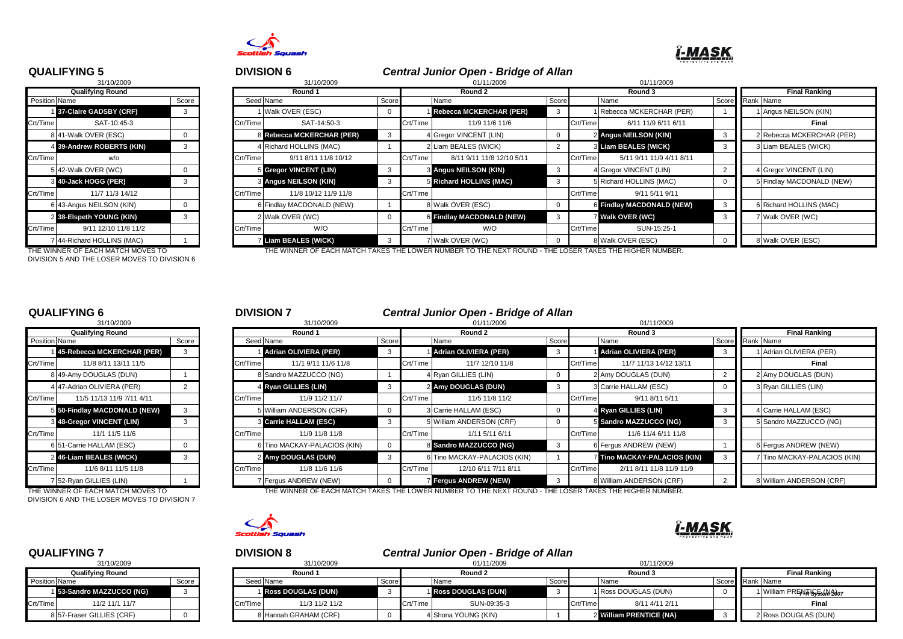

# **ï-MASK**

|                      | 31/10/2009               |       |
|----------------------|--------------------------|-------|
|                      | <b>Qualifying Round</b>  |       |
| <b>Position Name</b> |                          | Score |
| 1 <sup>1</sup>       | 37-Claire GADSBY (CRF)   | 3     |
| Crt/Time             | SAT-10:45-3              |       |
|                      | 8 41-Walk OVER (ESC)     | O     |
| 4                    | 39-Andrew ROBERTS (KIN)  | 3     |
| Crt/Time             | w/o                      |       |
| 5                    | 42-Walk OVER (WC)        | O     |
| 3                    | 40-Jack HOGG (PER)       | 3     |
| Crt/Time             | 11/7 11/3 14/12          |       |
| 6                    | 43-Angus NEILSON (KIN)   | 0     |
| $\overline{2}$       | 38-Elspeth YOUNG (KIN)   | 3     |
| Crt/Time             | 9/11 12/10 11/8 11/2     |       |
| 7                    | 44-Richard HOLLINS (MAC) |       |

DIVISION 5 AND THE LOSER MOVES TO DIVISION 6

### **QUALIFYING 5** <sup>5</sup> <sup>6</sup> **DIVISION 6** *Central Junior Open - Bridge of Allan*

| 31/10/2009<br>31/10/2009 |                           |       |  |          |                              |       | 01/11/2009<br>01/11/2009 |                                |       |          |                           |  |                      |                           |  |
|--------------------------|---------------------------|-------|--|----------|------------------------------|-------|--------------------------|--------------------------------|-------|----------|---------------------------|--|----------------------|---------------------------|--|
| <b>Qualifying Round</b>  |                           |       |  |          | Round 1                      |       | Round 2                  |                                |       |          | Round 3                   |  | <b>Final Ranking</b> |                           |  |
| <b>Position Name</b>     |                           | Score |  |          | Seed Name                    | Score | Name                     |                                | Score |          | Name                      |  |                      | Score Rank Name           |  |
|                          | 137-Claire GADSBY (CRF)   | 3     |  |          | I Walk OVER (ESC)            |       |                          | Rebecca MCKERCHAR (PER)        | 3     |          | Rebecca MCKERCHAR (PER)   |  |                      | Angus NEILSON (KIN)       |  |
| Crt/Time                 | SAT-10:45-3               |       |  | Crt/Time | SAT-14:50-3                  |       | Crt/Time                 | 11/9 11/6 11/6                 |       | Crt/Time | 6/11 11/9 6/11 6/11       |  |                      | Final                     |  |
|                          | 8 41-Walk OVER (ESC)      |       |  |          | 8 Rebecca MCKERCHAR (PER)    |       |                          | 4 Gregor VINCENT (LIN)         | 0     |          | 2 Angus NEILSON (KIN)     |  |                      | 2 Rebecca MCKERCHAR (PER) |  |
|                          | 4 39-Andrew ROBERTS (KIN) |       |  |          | 4 Richard HOLLINS (MAC)      |       |                          | 2 Liam BEALES (WICK)           |       |          | 3 Liam BEALES (WICK)      |  |                      | 3 Liam BEALES (WICK)      |  |
| Crt/Time                 | w/o                       |       |  | Crt/Time | 9/11 8/11 11/8 10/12         |       | Crt/Time                 | 8/11 9/11 11/8 12/10 5/11      |       | Crt/Time | 5/11 9/11 11/9 4/11 8/11  |  |                      |                           |  |
|                          | 5 42-Walk OVER (WC)       |       |  |          | 5 Gregor VINCENT (LIN)       |       |                          | <b>3 Angus NEILSON (KIN)</b>   | 3     |          | 4 Gregor VINCENT (LIN)    |  |                      | 4 Gregor VINCENT (LIN)    |  |
|                          | 3 40-Jack HOGG (PER)      |       |  |          | <b>3 Angus NEILSON (KIN)</b> |       |                          | <b>5</b> Richard HOLLINS (MAC) | 3     |          | 5 Richard HOLLINS (MAC)   |  |                      | 5 Findlay MACDONALD (NEW) |  |
| Crt/Time                 | 11/7 11/3 14/12           |       |  | Crt/Time | 11/8 10/12 11/9 11/8         |       | Crt/Time                 |                                |       | Crt/Time | 9/11 5/11 9/11            |  |                      |                           |  |
|                          | 6 43-Angus NEILSON (KIN)  |       |  |          | 6 Findlay MACDONALD (NEW)    |       |                          | 8 Walk OVER (ESC)              | 0     |          | 6 Findlay MACDONALD (NEW) |  |                      | 6 Richard HOLLINS (MAC)   |  |
|                          | 2 38-Elspeth YOUNG (KIN)  |       |  |          | 2 Walk OVER (WC)             |       |                          | 6 Findlay MACDONALD (NEW)      | 3     |          | 7 Walk OVER (WC)          |  |                      | 7 Walk OVER (WC)          |  |
| Crt/Time                 | 9/11 12/10 11/8 11/2      |       |  | Crt/Time | W/O                          |       | Crt/Time                 | W/O                            |       | Crt/Time | SUN-15:25-1               |  |                      |                           |  |
|                          | 744-Richard HOLLINS (MAC) |       |  |          | Liam BEALES (WICK)           |       |                          | 7 Walk OVER (WC)               |       |          | 8 Walk OVER (ESC)         |  |                      | 8 Walk OVER (ESC)         |  |
|                          |                           |       |  |          |                              |       |                          |                                |       |          |                           |  |                      |                           |  |

THE WINNER OF EACH MATCH MOVES TO THE WINNER OF EACH MATCH TAKES THE LOWER NUMBER TO THE NEXT ROUND - THE LOSER TAKES THE HIGHER NUMBER.

|                         | 31/10/2009                   |          |
|-------------------------|------------------------------|----------|
|                         | <b>Qualifying Round</b>      |          |
| <b>Position Name</b>    |                              | Score    |
|                         | 45-Rebecca MCKERCHAR (PER)   | 3        |
| Crt/Time                | 11/8 8/11 13/11 11/5         |          |
|                         | 8 49-Amy DOUGLAS (DUN)       |          |
|                         | 4 47-Adrian OLIVIERA (PER)   | 2        |
| Crt/Time                | 11/5 11/13 11/9 7/11 4/11    |          |
|                         | 5 50-Findlay MACDONALD (NEW) | 3        |
| $\overline{\mathbf{3}}$ | 48-Gregor VINCENT (LIN)      | 3        |
| Crt/Time                | 11/1 11/5 11/6               |          |
|                         | 6 51-Carrie HALLAM (ESC)     | $\Omega$ |
| 2                       | 46-Liam BEALES (WICK)        | 3        |
| Crt/Time                | 11/6 8/11 11/5 11/8          |          |
| 7                       | 52-Ryan GILLIES (LIN)        |          |

DIVISION 6 AND THE LOSER MOVES TO DIVISION 7

### **QUALIFYING 6** <sup>6</sup> <sup>7</sup> **DIVISION 7** *Central Junior Open - Bridge of Allan*

|                         | 31/10/2009                   |       |          | 31/10/2009                   |       |          | 01/11/2009                   |       | 01/11/2009 |                              |                 |  |                              |
|-------------------------|------------------------------|-------|----------|------------------------------|-------|----------|------------------------------|-------|------------|------------------------------|-----------------|--|------------------------------|
| <b>Qualifying Round</b> |                              |       |          | Round 1                      |       |          | Round 2                      |       | Round 3    |                              |                 |  | <b>Final Ranking</b>         |
| Position Name           |                              | Score |          | Seed Name                    | Score |          | Name                         | Score |            | Name                         | Score Rank Name |  |                              |
|                         | 145-Rebecca MCKERCHAR (PER)  | -3    |          | <b>Adrian OLIVIERA (PER)</b> |       |          | <b>Adrian OLIVIERA (PER)</b> |       |            | 1 Adrian OLIVIERA (PER)      |                 |  | Adrian OLIVIERA (PER)        |
| Crt/Time                | 11/8 8/11 13/11 11/5         |       | Crt/Time | 11/1 9/11 11/6 11/8          |       | Crt/Time | 11/7 12/10 11/8              |       | Crt/Time   | 11/7 11/13 14/12 13/11       |                 |  | Final                        |
|                         | 8 49-Amy DOUGLAS (DUN)       |       |          | 8 Sandro MAZZUCCO (NG)       |       |          | 4 Ryan GILLIES (LIN)         |       |            | 2 Amy DOUGLAS (DUN)          |                 |  | 2 Amy DOUGLAS (DUN)          |
|                         | 4 47-Adrian OLIVIERA (PER)   |       |          | 4 Ryan GILLIES (LIN)         |       |          | 2 Amy DOUGLAS (DUN)          |       |            | 3 Carrie HALLAM (ESC)        |                 |  | 3 Ryan GILLIES (LIN)         |
| Crt/Time                | 11/5 11/13 11/9 7/11 4/11    |       | Crt/Time | 11/9 11/2 11/7               |       | Crt/Time | 11/5 11/8 11/2               |       | Crt/Time   | 9/11 8/11 5/11               |                 |  |                              |
|                         | 5 50-Findlay MACDONALD (NEW) | 3     |          | 5 William ANDERSON (CRF)     |       |          | 3 Carrie HALLAM (ESC)        |       |            | 4 Ryan GILLIES (LIN)         |                 |  | 4 Carrie HALLAM (ESC)        |
|                         | 3 48-Gregor VINCENT (LIN)    | -3    |          | <b>3 Carrie HALLAM (ESC)</b> |       |          | 5 William ANDERSON (CRF)     |       |            | 5 Sandro MAZZUCCO (NG)       |                 |  | 5 Sandro MAZZUCCO (NG)       |
| Crt/Time                | 11/1 11/5 11/6               |       | Crt/Time | 11/9 11/8 11/8               |       | Crt/Time | 1/11 5/11 6/11               |       | Crt/Time   | 11/6 11/4 6/11 11/8          |                 |  |                              |
|                         | 6 51-Carrie HALLAM (ESC)     |       |          | 6 Tino MACKAY-PALACIOS (KIN) |       |          | 8 Sandro MAZZUCCO (NG)       | -3    |            | 6 Fergus ANDREW (NEW)        |                 |  | 6 Fergus ANDREW (NEW)        |
|                         | 2 46-Liam BEALES (WICK)      |       |          | 2 Amy DOUGLAS (DUN)          |       |          | 6 Tino MACKAY-PALACIOS (KIN) |       |            | 7 Tino MACKAY-PALACIOS (KIN) |                 |  | 7 Tino MACKAY-PALACIOS (KIN) |
| Crt/Time                | 11/6 8/11 11/5 11/8          |       | Crt/Time | 11/8 11/6 11/6               |       | Crt/Time | 12/10 6/11 7/11 8/11         |       | Crt/Time   | 2/11 8/11 11/8 11/9 11/9     |                 |  |                              |
|                         | 7 52-Ryan GILLIES (LIN)      |       |          | 7 Fergus ANDREW (NEW)        |       |          | 7 Fergus ANDREW (NEW)        |       |            | 8 William ANDERSON (CRF)     |                 |  | William ANDERSON (CRF)       |

THE WINNER OF EACH MATCH MOVES TO THE WINNER OF EACH MATCH TAKES THE LOWER NUMBER TO THE NEXT ROUND - THE LOSER TAKES THE HIGHER NUMBER.



| 31/10/2009    |                           |       |  |  |  |  |  |  |  |  |  |
|---------------|---------------------------|-------|--|--|--|--|--|--|--|--|--|
|               | <b>Qualifying Round</b>   |       |  |  |  |  |  |  |  |  |  |
| Position Name |                           | Score |  |  |  |  |  |  |  |  |  |
|               | 1 53-Sandro MAZZUCCO (NG) | з     |  |  |  |  |  |  |  |  |  |
| Crt/Time      | 11/2 11/1 11/7            |       |  |  |  |  |  |  |  |  |  |
|               | 8 57-Fraser GILLIES (CRF) |       |  |  |  |  |  |  |  |  |  |

### **QUALIFYING 7** <sup>7</sup> <sup>8</sup> **DIVISION 8** *Central Junior Open - Bridge of Allan*

| 31/10/2009              |                           |       | 31/10/2009 |                       |       |          | 01/11/2009           | 01/11/2009 |          |                         |                 |  |                             |
|-------------------------|---------------------------|-------|------------|-----------------------|-------|----------|----------------------|------------|----------|-------------------------|-----------------|--|-----------------------------|
| <b>Qualifying Round</b> |                           |       |            | Round 1               |       |          | Round 2              |            |          | Round 3                 |                 |  | <b>Final Ranking</b>        |
| Position Name           |                           | Score |            | Seed Name             | Score |          | Name                 | Score      |          | Nam                     | Score Rank Name |  |                             |
|                         | 1 53-Sandro MAZZUCCO (NG) |       |            | 1 Ross DOUGLAS (DUN)  |       |          | 1 Ross DOUGLAS (DUN) |            |          | 1 Ross DOUGLAS (DUN)    |                 |  | 1 William PREATIS 5tem 2007 |
| Crt/Time                | 11/2 11/1 11/7            |       | Crt/Time   | 11/3 11/2 11/2        |       | Crt/Time | SUN-09:35-3          |            | Crt/Time | 8/11 4/11 2/11          |                 |  | Final                       |
|                         | 8 57-Fraser GILLIES (CRF) |       |            | 8 Hannah GRAHAM (CRF) |       |          | 4 Shona YOUNG (KIN)  |            |          | 2 William PRENTICE (NA) |                 |  | 2 Ross DOUGLAS (DUN)        |